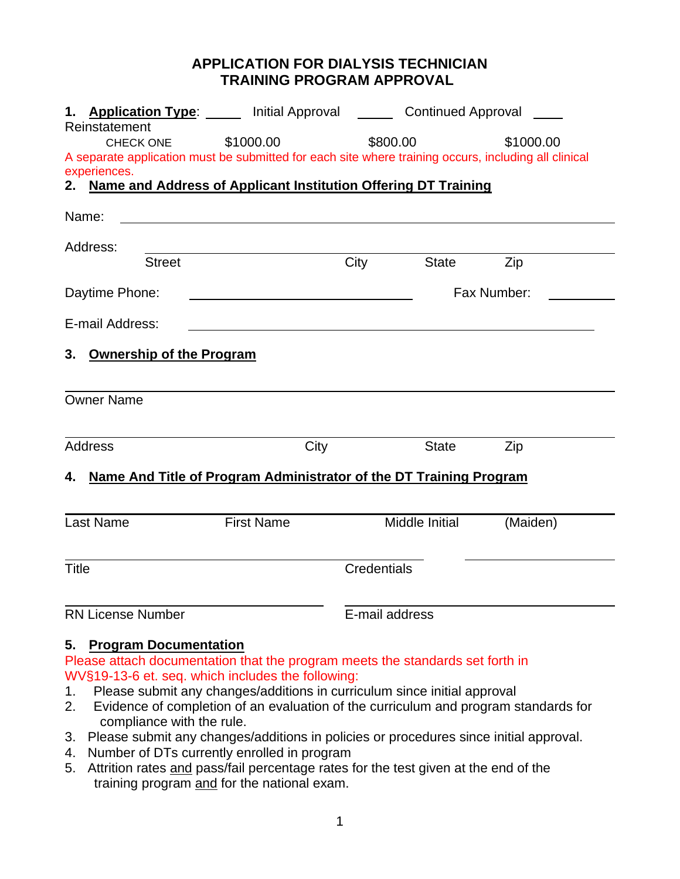## **APPLICATION FOR DIALYSIS TECHNICIAN TRAINING PROGRAM APPROVAL**

| 1. Application Type: Initial Approval <b>Labylin Continued Approval</b>                                           |                   |      |                                                                                                                 |           |
|-------------------------------------------------------------------------------------------------------------------|-------------------|------|-----------------------------------------------------------------------------------------------------------------|-----------|
| Reinstatement                                                                                                     |                   |      | \$800.00                                                                                                        | \$1000.00 |
| CHECK ONE<br>A separate application must be submitted for each site where training occurs, including all clinical | \$1000.00         |      |                                                                                                                 |           |
| experiences.                                                                                                      |                   |      |                                                                                                                 |           |
| 2. Name and Address of Applicant Institution Offering DT Training                                                 |                   |      |                                                                                                                 |           |
| Name:                                                                                                             |                   |      |                                                                                                                 |           |
| Address:                                                                                                          |                   |      |                                                                                                                 |           |
| <b>Street</b>                                                                                                     |                   | City | <b>State</b>                                                                                                    | Zip       |
| Daytime Phone:<br><u> 1989 - Johann Barbara, martxa alemaniar amerikan a</u>                                      |                   |      | Fax Number:                                                                                                     |           |
| E-mail Address:                                                                                                   |                   |      |                                                                                                                 |           |
| <b>Ownership of the Program</b><br>3.                                                                             |                   |      |                                                                                                                 |           |
| <b>Owner Name</b>                                                                                                 |                   |      |                                                                                                                 |           |
| <b>Address</b>                                                                                                    |                   | City | <b>State</b>                                                                                                    | Zip       |
| 4. Name And Title of Program Administrator of the DT Training Program                                             |                   |      |                                                                                                                 |           |
|                                                                                                                   |                   |      |                                                                                                                 |           |
| <b>Last Name</b>                                                                                                  | <b>First Name</b> |      | Middle Initial                                                                                                  | (Maiden)  |
| <b>Title</b><br><b>Credentials</b>                                                                                |                   |      |                                                                                                                 |           |
| <b>RN License Number</b>                                                                                          |                   |      | E-mail address                                                                                                  |           |
| 5. Program Documentation                                                                                          |                   |      | the contract of the contract of the contract of the contract of the contract of the contract of the contract of |           |

Please attach documentation that the program meets the standards set forth in WV§19-13-6 et. seq. which includes the following:

- 1. Please submit any changes/additions in curriculum since initial approval
- 2. Evidence of completion of an evaluation of the curriculum and program standards for compliance with the rule.
- 3. Please submit any changes/additions in policies or procedures since initial approval.
- 4. Number of DTs currently enrolled in program
- 5. Attrition rates and pass/fail percentage rates for the test given at the end of the training program and for the national exam.